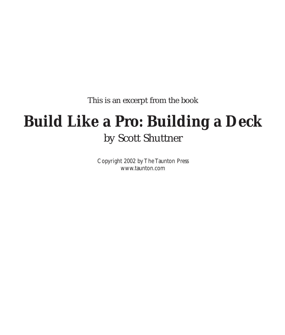This is an excerpt from the book

# **Build Like a Pro: Building a Deck** by Scott Shuttner

Copyright 2002 by The Taunton Press www.taunton.com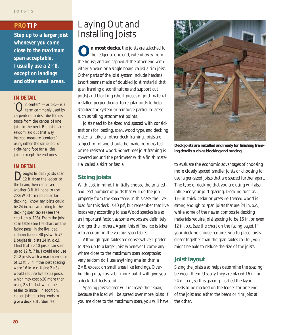### **PRO TIP**

*Step up to a larger joist whenever you come close to the maximum span acceptable. I* usually use a  $2\times 8$ , *except on landings and other small areas.*

### **IN DETAIL**

" On center" —or *o.c.*—is a term commonly used by carpenters to describe the distance from the center of one joist to the next. But joists are seldom laid out that way. Instead, measure "centers" using either the same left- or right-hand face for all the joists except the end ones.

### **IN DETAIL**

**D**ouglas fir deck joists span<br>12 ft. from the ledger to the beam, then cantilever another 3 ft. If I hope to use  $2\times6$  Western red cedar for decking, I know my joists could be 24 in. o.c., according to the decking span tables (see the chart on p. 103). From the joist span table (see the chart on the facing page) in the live load column (under 40 psf with #2 Douglas fir joists 24 in. o.c.), I find that  $2\times10$  joists can span up to 12 ft. 7 in. I could also use  $2\times8$  joists with a maximum span of 12 ft. 5 in. if the joist spacing were 16 in. o.c. Using  $2\times8s$ would require five extra joists, which may cost \$20 more than using  $2\times10s$  but would be easier to install. In addition, closer joist spacing tends to give a deck a sturdier feel.

## Laying Out and Installing Joists

**On most decks**, the joists are attached to the ledger at one end, extend away from the house, and are capped at the other end with either a beam or a single board called a rim joist. Other parts of the joist system include headers (short beams made of doubled joist material that span framing discontinuities and support cut joists) and blocking (short pieces of joist material installed perpendicular to regular joists to help stabilize the system or reinforce particular areas such as railing attachment points.

Joists need to be sized and spaced with considerations for loading, span, wood type, and decking material. Like all other deck framing, joists are subject to rot and should be made from treated or rot-resistant wood. Sometimes joist framing is covered around the perimeter with a finish material called a skirt or fascia.

### **Sizing joists**

With cost in mind, I initially choose the smallest and least number of joists that will do the job properly from the span table. In this case, the live load for this deck is 40 psf, but remember that live loads vary according to use.Wood species is also an important factor, as some woods are definitely stronger than others.Again, this difference is taken into account in the various span tables.

Although span tables are conservative, I prefer to step up to a larger joist whenever I come anywhere close to the maximum span acceptable; very seldom do I use anything smaller than a  $2\times8$ , except on small areas like landings. Overbuilding may cost a bit more, but it will give you a deck that feels solid.

Spacing joists closer will increase their span, because the load will be spread over more joists. If you are close to the maximum span, you will have



**Deck joists are installed and ready for finishing framing details such as blocking and bracing.**

to evaluate the economic advantages of choosing more closely spaced, smaller joists or choosing to use larger-sized joists that are spaced further apart. The type of decking that you are using will also influence your joist spacing. Decking such as 1½-in. thick cedar or pressure-treated wood is strong enough to span joists that are 24 in. o.c., while some of the newer composite decking materials require joist spacing to be 16 in. or even 12 in. o.c. (see the chart on the facing page). If your decking choice requires you to place joists closer together than the span tables call for, you might be able to reduce the size of the joists.

### **Joist layout**

Sizing the joists also helps determine the spacing between them. Usually they are placed 16 in. or 24 in. o.c., so this spacing—called the layout needs to be marked on the ledger for one end of the joist and either the beam or rim joist at the other.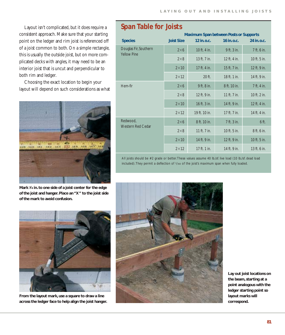Layout isn't complicated, but it does require a consistent approach. Make sure that your starting point on the ledger and rim joist is referenced off of a joist common to both. On a simple rectangle, this is usually the outside joist, but on more complicated decks with angles, it may need to be an interior joist that is uncut and perpendicular to both rim and ledger.

Choosing the exact location to begin your layout will depend on such considerations as what



**Mark 3⁄4 in. to one side of a joist center for the edge of the joist and hanger. Place an "X" to the joist side of the mark to avoid confusion.**



**From the layout mark, use a square to draw a line across the ledger face to help align the joist hanger.**

### **Span Table for Joists**

|                                             | <b>Maximum Span between Posts or Supports</b> |               |              |              |
|---------------------------------------------|-----------------------------------------------|---------------|--------------|--------------|
| <b>Species</b>                              | <b>Joist Size</b>                             | 12 in. o.c.   | 16 in. o.c.  | 24 in. o.c.  |
| Douglas Fir, Southern<br><b>Yellow Pine</b> | $2\times6$                                    | 10 ft. 4 in.  | 9 ft. 3 in.  | 7 ft. 6 in.  |
|                                             | $2\times8$                                    | 13 ft. 7 in.  | 12 ft. 4 in. | 10 ft. 5 in. |
|                                             | $2\times 10$                                  | 17 ft. 4 in.  | 15 ft. 7 in. | 12 ft. 9 in. |
|                                             | $2\times 12$                                  | $20$ ft.      | 18 ft. 1 in. | 14 ft. 9 in. |
| Hem-fir                                     | $2\times6$                                    | 9 ft. 8 in.   | 8 ft. 10 in. | 7 ft. 4 in.  |
|                                             | $2\times8$                                    | 12 ft. 9 in.  | 11 ft. 7 in. | 10 ft. 2 in. |
|                                             | $2\times 10$                                  | 16 ft. 3 in.  | 14 ft. 9 in. | 12 ft. 4 in. |
|                                             | $2\times 12$                                  | 19 ft. 10 in. | 17 ft. 7 in. | 14 ft. 4 in. |
| Redwood,<br><b>Western Red Cedar</b>        | $2\times6$                                    | 8 ft. 10 in.  | 7 ft. 3 in.  | $6$ ft.      |
|                                             | $2\times8$                                    | 11 ft. 7 in.  | 10 ft. 5 in. | 8 ft. 6 in.  |
|                                             | $2\times 10$                                  | 14 ft. 9 in.  | 12 ft. 9 in. | 10 ft. 5 in. |
|                                             | $2\times 12$                                  | 17 ft. 1 in.  | 14 ft. 9 in. | 13 ft. 6 in. |

All joists should be #2 grade or better. These values assume 40 lb./sf. live load (10 lb./sf. dead load included).They permit a deflection of 1/360 of the joist's maximum span when fully loaded.



**Lay out joist locations on the beam, starting at a point analogous with the ledger starting point so layout marks will correspond.**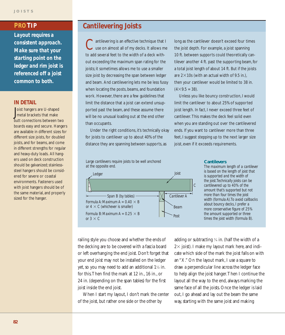*Layout requires a consistent approach. Make sure that your starting point on the ledger and rim joist is referenced off a joist common to both.*

### **IN DETAIL**

Joist hangers are U-shaped<br>
metal brackets that make oist hangers are U-shaped butt connections between two boards easy and secure. Hangers are available in different sizes for different size joists, for doubled joists, and for beams, and come in different strengths for regular and heavy-duty loads. All hangers used on deck construction should be galvanized; stainlesssteel hangers should be considered for severe or coastal environments. Fasteners used with joist hangers should be of the same material, and properly sized for the hanger.

### **PRO TIP Cantilevering Joists**

antilevering is an effective technique that I use on almost all of my decks. It allows me to add several feet to the width of a deck without exceeding the maximum span rating for the joists; it sometimes allows me to use a smaller size joist by decreasing the span between ledger and beam. And cantilevering lets me be less fussy when locating the posts, beams, and foundation work. However, there are a few guidelines that limit the distance that a joist can extend unsupported past the beam, and these assume there will be no unusual loading out at the end other than occupants.

Under the right conditions, it's technically okay for joists to cantilever up to about 40% of the distance they are spanning between supports, as

long as the cantilever doesn't exceed four times the joist depth. For example, a joist spanning 10 ft. between supports could theoretically cantilever another 4 ft. past the supporting beam, for a total joist length of about 14 ft. But if the joists are  $2\times10s$  (with an actual width of 9.5 in.), then your cantilever would be limited to 38 in.  $(4 \times 9.5 = 38)$ .

Unless you like bouncy construction, I would limit the cantilever to about 25% of supported joist length. In fact, I never exceed three feet of cantilever. This makes the deck feel solid even when you are standing out over the cantilevered ends. If you want to cantilever more than three feet, I suggest stepping up to the next larger size joist, even if it exceeds requirements.





### **Cantilevers**

*The maximum length of a cantilever is based on the length of joist that is supported and the width of the joist. Technically joists can be cantilevered up to 40% of the amount that's supported but not more than four times the joist width (formula A). To avoid callbacks about bouncy decks, I prefer a more conservative figure of 25% the amount supported or three times the joist width (formula B).*

railing style you choose and whether the ends of the decking are to be covered with a fascia board or left overhanging the end joist. Don't forget that your end joist may not be installed on the ledger yet, so you may need to add an additional 1½ in. for this.Then find the mark at 12 in., 16 in., or 24 in. (depending on the span tables) for the first joist inside the end joist.

When I start my layout, I don't mark the center of the joist, but rather one side or the other by

adding or subtracting  $\frac{3}{4}$  in. (half the width of a  $2 \times$  joist). I make my layout mark here, and indicate which side of the mark the joist falls on with an "X." On the layout mark, I use a square to draw a perpendicular line across the ledger face to help align the joist hanger.Then I continue the layout all the way to the end, always marking the same face of all the joists. Once the ledger is laid out, I go ahead and lay out the beam the same way, starting with the same joist and making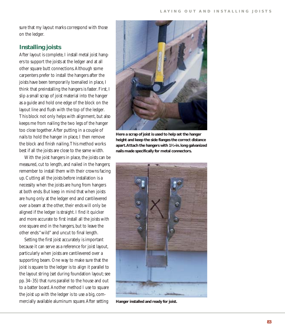sure that my layout marks correspond with those on the ledger.

### **Installing joists**

After layout is complete, I install metal joist hangers to support the joists at the ledger and at all other square butt connections.Although some carpenters prefer to install the hangers after the joists have been temporarily toenailed in place, I think that preinstalling the hangers is faster. First, I slip a small scrap of joist material into the hanger as a guide and hold one edge of the block on the layout line and flush with the top of the ledger. This block not only helps with alignment, but also keeps me from nailing the two legs of the hanger too close together.After putting in a couple of nails to hold the hanger in place, I then remove the block and finish nailing.This method works best if all the joists are close to the same width.

With the joist hangers in place, the joists can be measured, cut to length, and nailed in the hangers; remember to install them with their crowns facing up. Cutting all the joists before installation is a necessity when the joists are hung from hangers at both ends. But keep in mind that when joists are hung only at the ledger end and cantilevered over a beam at the other, their ends will only be aligned if the ledger is straight. I find it quicker and more accurate to first install all the joists with one square end in the hangers, but to leave the other ends "wild" and uncut to final length.

Setting the first joist accurately is important because it can serve as a reference for joist layout, particularly when joists are cantilevered over a supporting beam. One way to make sure that the joist is square to the ledger is to align it parallel to the layout string (set during foundation layout; see pp. 34–35) that runs parallel to the house and out to a batter board.Another method I use to square the joist up with the ledger is to use a big, commercially available aluminum square.After setting



**Here a scrap of joist is used to help set the hanger height and keep the side flanges the correct distance apart.Attach the hangers with 11⁄2-in. long galvanized nails made specifically for metal connectors.**



**Hanger installed and ready for joist.**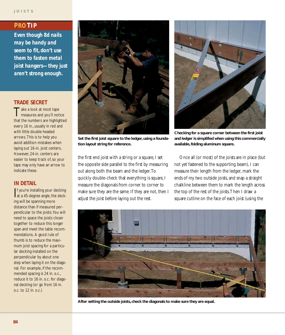### **PRO TIP**

*Even though 8d nails may be handy and seem to fit, don't use them to fasten metal joist hangers—they just aren't strong enough.*

### **TRADE SECRET**

Take a look at most tape<br>measures and you'll notice that the numbers are highlighted every 16 in., usually in red and with little double-headed arrows. This is to help you avoid addition mistakes when laying out 16-in. joist centers. However, 24-in. centers are easier to keep track of, so your tape may only have an arrow to indicate these.

### **IN DETAIL**

If you're installing your decking<br>at a 45-degree angle, the deckf you're installing your decking ing will be spanning more distance than if measured perpendicular to the joists.You will need to space the joists closer together to reduce this longer span and meet the table recommendations. A good rule of thumb is to reduce the maximum joist spacing for a particular decking installed on the perpendicular by about one step when laying it on the diagonal. For example, if the recommended spacing is 24 in. o.c., reduce it to 16 in. o.c. for diagonal decking (or go from 16 in. o.c. to 12 in. o.c.)



**Set the first joist square to the ledger, using a foundation layout string for reference.**

the first end joist with a string or a square, I set the opposite side parallel to the first by measuring out along both the beam and the ledger.To quickly double-check that everything is square, I measure the diagonals from corner to corner to make sure they are the same. If they are not, then I adjust the joist before laying out the rest.



**Checking for a square corner between the first joist and ledger is simplified when using this commercially available, folding aluminum square.**

Once all (or most) of the joists are in place (but not yet fastened to the supporting beam), I can measure their length from the ledger, mark the ends of my two outside joists, and snap a straight chalkline between them to mark the length across the top of the rest of the joists.Then I draw a square cutline on the face of each joist (using the



**After setting the outside joists, check the diagonals to make sure they are equal.**